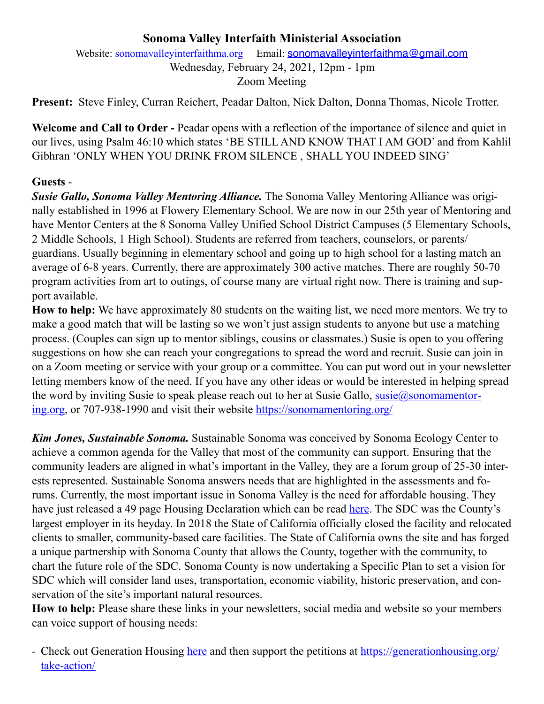## **Sonoma Valley Interfaith Ministerial Association**

Website: [sonomavalleyinterfaithma.org](http://sonomavalleyinterfaithma.org) Email: [sonomavalleyinterfaithma@gmail.com](mailto:sonomavalleyinterfaithma@gmail.com) Wednesday, February 24, 2021, 12pm - 1pm Zoom Meeting

**Present:** Steve Finley, Curran Reichert, Peadar Dalton, Nick Dalton, Donna Thomas, Nicole Trotter.

**Welcome and Call to Order -** Peadar opens with a reflection of the importance of silence and quiet in our lives, using Psalm 46:10 which states 'BE STILL AND KNOW THAT I AM GOD' and from Kahlil Gibhran 'ONLY WHEN YOU DRINK FROM SILENCE , SHALL YOU INDEED SING'

## **Guests** -

*Susie Gallo, Sonoma Valley Mentoring Alliance.* The Sonoma Valley Mentoring Alliance was originally established in 1996 at Flowery Elementary School. We are now in our 25th year of Mentoring and have Mentor Centers at the 8 Sonoma Valley Unified School District Campuses (5 Elementary Schools, 2 Middle Schools, 1 High School). Students are referred from teachers, counselors, or parents/ guardians. Usually beginning in elementary school and going up to high school for a lasting match an average of 6-8 years. Currently, there are approximately 300 active matches. There are roughly 50-70 program activities from art to outings, of course many are virtual right now. There is training and support available.

**How to help:** We have approximately 80 students on the waiting list, we need more mentors. We try to make a good match that will be lasting so we won't just assign students to anyone but use a matching process. (Couples can sign up to mentor siblings, cousins or classmates.) Susie is open to you offering suggestions on how she can reach your congregations to spread the word and recruit. Susie can join in on a Zoom meeting or service with your group or a committee. You can put word out in your newsletter letting members know of the need. If you have any other ideas or would be interested in helping spread the word by inviting Susie to speak please reach out to her at Susie Gallo,  $susie(a)$ sonomamentor[ing.org,](mailto:susie@sonomamentoring.org) or 707-938-1990 and visit their website<https://sonomamentoring.org/>

*Kim Jones, Sustainable Sonoma.* Sustainable Sonoma was conceived by Sonoma Ecology Center to achieve a common agenda for the Valley that most of the community can support. Ensuring that the community leaders are aligned in what's important in the Valley, they are a forum group of 25-30 interests represented. Sustainable Sonoma answers needs that are highlighted in the assessments and forums. Currently, the most important issue in Sonoma Valley is the need for affordable housing. They have just released a 49 page Housing Declaration which can be read [here.](https://static1.squarespace.com/static/582f5c709f74561b35103c6c/t/600b2157042312721ae0c18e/1611342212006/Homes+For+A+Sustainable+Sonoma+Valley.pdf) The SDC was the County's largest employer in its heyday. In 2018 the State of California officially closed the facility and relocated clients to smaller, community-based care facilities. The State of California owns the site and has forged a unique partnership with Sonoma County that allows the County, together with the community, to chart the future role of the SDC. Sonoma County is now undertaking a Specific Plan to set a vision for SDC which will consider land uses, transportation, economic viability, historic preservation, and conservation of the site's important natural resources.

**How to help:** Please share these links in your newsletters, social media and website so your members can voice support of housing needs:

*-* Check out Generation Housing [here](https://generationhousing.org/) and then support the petitions at [https://generationhousing.org/](https://generationhousing.org/take-action/) [take-action/](https://generationhousing.org/take-action/)